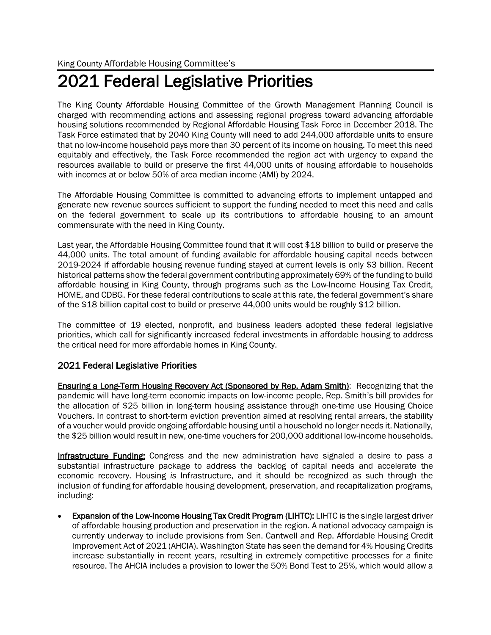# 2021 Federal Legislative Priorities

The King County Affordable Housing Committee of the Growth Management Planning Council is charged with recommending actions and assessing regional progress toward advancing affordable housing solutions recommended by Regional Affordable Housing Task Force in December 2018. The Task Force estimated that by 2040 King County will need to add 244,000 affordable units to ensure that no low-income household pays more than 30 percent of its income on housing. To meet this need equitably and effectively, the Task Force recommended the region act with urgency to expand the resources available to build or preserve the first 44,000 units of housing affordable to households with incomes at or below 50% of area median income (AMI) by 2024.

The Affordable Housing Committee is committed to advancing efforts to implement untapped and generate new revenue sources sufficient to support the funding needed to meet this need and calls on the federal government to scale up its contributions to affordable housing to an amount commensurate with the need in King County.

Last year, the Affordable Housing Committee found that it will cost \$18 billion to build or preserve the 44,000 units. The total amount of funding available for affordable housing capital needs between 2019-2024 if affordable housing revenue funding stayed at current levels is only \$3 billion. Recent historical patterns show the federal government contributing approximately 69% of the funding to build affordable housing in King County, through programs such as the Low-Income Housing Tax Credit, HOME, and CDBG. For these federal contributions to scale at this rate, the federal government's share of the \$18 billion capital cost to build or preserve 44,000 units would be roughly \$12 billion.

The committee of 19 elected, nonprofit, and business leaders adopted these federal legislative priorities, which call for significantly increased federal investments in affordable housing to address the critical need for more affordable homes in King County.

## 2021 Federal Legislative Priorities

Ensuring a Long-Term Housing Recovery Act (Sponsored by Rep. Adam Smith): Recognizing that the pandemic will have long-term economic impacts on low-income people, Rep. Smith's bill provides for the allocation of \$25 billion in long-term housing assistance through one-time use Housing Choice Vouchers. In contrast to short-term eviction prevention aimed at resolving rental arrears, the stability of a voucher would provide ongoing affordable housing until a household no longer needs it. Nationally, the \$25 billion would result in new, one-time vouchers for 200,000 additional low-income households.

Infrastructure Funding: Congress and the new administration have signaled a desire to pass a substantial infrastructure package to address the backlog of capital needs and accelerate the economic recovery. Housing *is* Infrastructure, and it should be recognized as such through the inclusion of funding for affordable housing development, preservation, and recapitalization programs, including:

Expansion of the Low-Income Housing Tax Credit Program (LIHTC): LIHTC is the single largest driver of affordable housing production and preservation in the region. A national advocacy campaign is currently underway to include provisions from Sen. Cantwell and Rep. Affordable Housing Credit Improvement Act of 2021 (AHCIA). Washington State has seen the demand for 4% Housing Credits increase substantially in recent years, resulting in extremely competitive processes for a finite resource. The AHCIA includes a provision to lower the 50% Bond Test to 25%, which would allow a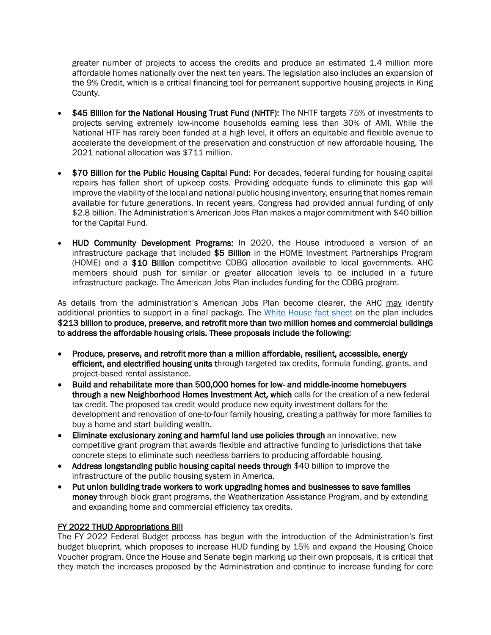greater number of projects to access the credits and produce an estimated 1.4 million more affordable homes nationally over the next ten years. The legislation also includes an expansion of the 9% Credit, which is a critical financing tool for permanent supportive housing projects in King County.

- \$45 Billion for the National Housing Trust Fund (NHTF): The NHTF targets 75% of investments to projects serving extremely low-income households earning less than 30% of AMI. While the National HTF has rarely been funded at a high level, it offers an equitable and flexible avenue to accelerate the development of the preservation and construction of new affordable housing. The 2021 national allocation was \$711 million.
- \$70 Billion for the Public Housing Capital Fund: For decades, federal funding for housing capital repairs has fallen short of upkeep costs. Providing adequate funds to eliminate this gap will improve the viability of the local and national public housing inventory, ensuring that homes remain available for future generations. In recent years, Congress had provided annual funding of only \$2.8 billion. The Administration's American Jobs Plan makes a major commitment with \$40 billion for the Capital Fund.
- HUD Community Development Programs: In 2020, the House introduced a version of an infrastructure package that included \$5 Billion in the HOME Investment Partnerships Program (HOME) and a \$10 Billion competitive CDBG allocation available to local governments. AHC members should push for similar or greater allocation levels to be included in a future infrastructure package. The American Jobs Plan includes funding for the CDBG program.

As details from the administration's American Jobs Plan become clearer, the AHC may identify additional priorities to support in a final package. The [White House fact sheet](https://www.whitehouse.gov/briefing-room/statements-releases/2021/03/31/fact-sheet-the-american-jobs-plan/?utm_source=NLIHC+All+Subscribers&utm_campaign=a07780d36a-CTA_033121&utm_medium=email&utm_term=0_e090383b5e-a07780d36a-291838681&ct=t(CTA_033121)) on the plan includes \$213 billion to produce, preserve, and retrofit more than two million homes and commercial buildings to address the affordable housing crisis. These proposals include the following:

- Produce, preserve, and retrofit more than a million affordable, resilient, accessible, energy efficient, and electrified housing units through targeted tax credits, formula funding, grants, and project-based rental assistance.
- Build and rehabilitate more than 500,000 homes for low- and middle-income homebuyers through a new Neighborhood Homes Investment Act, which calls for the creation of a new federal tax credit. The proposed tax credit would produce new equity investment dollars for the development and renovation of one-to-four family housing, creating a pathway for more families to buy a home and start building wealth.
- Eliminate exclusionary zoning and harmful land use policies through an innovative, new competitive grant program that awards flexible and attractive funding to jurisdictions that take concrete steps to eliminate such needless barriers to producing affordable housing.
- Address longstanding public housing capital needs through \$40 billion to improve the infrastructure of the public housing system in America.
- Put union building trade workers to work upgrading homes and businesses to save families money through block grant programs, the Weatherization Assistance Program, and by extending and expanding home and commercial efficiency tax credits.

## FY 2022 THUD Appropriations Bill

The FY 2022 Federal Budget process has begun with the introduction of the Administration's first budget blueprint, which proposes to increase HUD funding by 15% and expand the Housing Choice Voucher program. Once the House and Senate begin marking up their own proposals, it is critical that they match the increases proposed by the Administration and continue to increase funding for core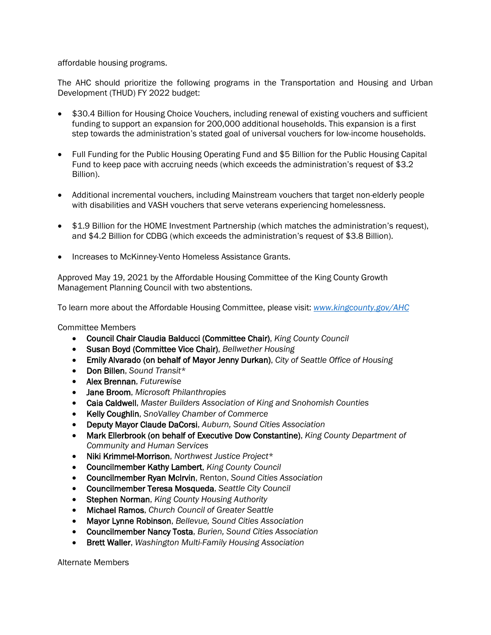### affordable housing programs.

The AHC should prioritize the following programs in the Transportation and Housing and Urban Development (THUD) FY 2022 budget:

- \$30.4 Billion for Housing Choice Vouchers, including renewal of existing vouchers and sufficient funding to support an expansion for 200,000 additional households. This expansion is a first step towards the administration's stated goal of universal vouchers for low-income households.
- Full Funding for the Public Housing Operating Fund and \$5 Billion for the Public Housing Capital Fund to keep pace with accruing needs (which exceeds the administration's request of \$3.2 Billion).
- Additional incremental vouchers, including Mainstream vouchers that target non-elderly people with disabilities and VASH vouchers that serve veterans experiencing homelessness.
- \$1.9 Billion for the HOME Investment Partnership (which matches the administration's request), and \$4.2 Billion for CDBG (which exceeds the administration's request of \$3.8 Billion).
- Increases to McKinney-Vento Homeless Assistance Grants.

Approved May 19, 2021 by the Affordable Housing Committee of the King County Growth Management Planning Council with two abstentions.

To learn more about the Affordable Housing Committee, please visit: *[www.kingcounty.gov/AHC](https://kingcounty.gov/depts/community-human-services/housing/affordable-housing-committee.aspx)*

### Committee Members

- Council Chair Claudia Balducci (Committee Chair), *King County Council*
- Susan Boyd (Committee Vice Chair), *Bellwether Housing*
- Emily Alvarado (on behalf of Mayor Jenny Durkan), *City of Seattle Office of Housing*
- Don Billen, *Sound Transit*\*
- Alex Brennan, *Futurewise*
- Jane Broom, *Microsoft Philanthropies*
- Caia Caldwell, *Master Builders Association of King and Snohomish Counties*
- Kelly Coughlin, *SnoValley Chamber of Commerce*
- Deputy Mayor Claude DaCorsi, *Auburn, Sound Cities Association*
- Mark Ellerbrook (on behalf of Executive Dow Constantine), *King County Department of Community and Human Services*
- Niki Krimmel-Morrison, *Northwest Justice Project*\*
- Councilmember Kathy Lambert, *King County Council*
- Councilmember Ryan McIrvin, Renton, *Sound Cities Association*
- Councilmember Teresa Mosqueda, *Seattle City Council*
- Stephen Norman, *King County Housing Authority*
- Michael Ramos, *Church Council of Greater Seattle*
- Mayor Lynne Robinson, *Bellevue, Sound Cities Association*
- Councilmember Nancy Tosta, *Burien, Sound Cities Association*
- Brett Waller, *Washington Multi-Family Housing Association*

Alternate Members